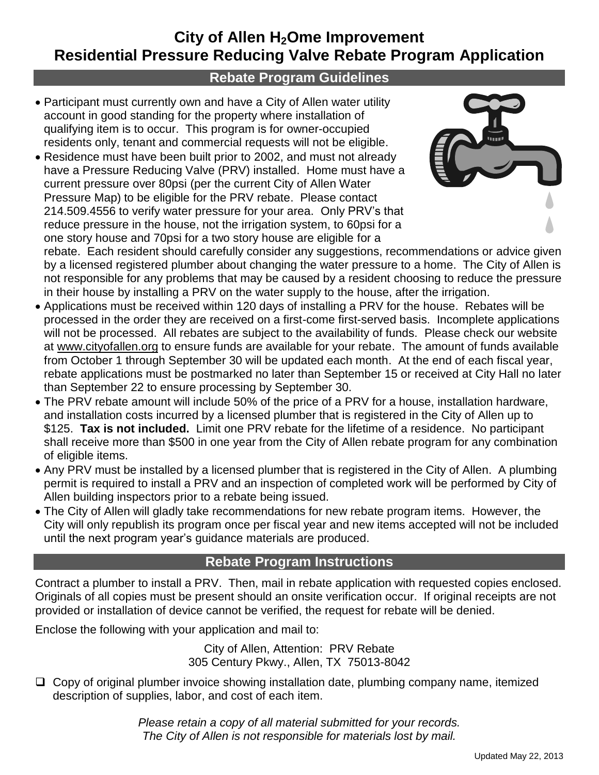# **City of Allen H2Ome Improvement Residential Pressure Reducing Valve Rebate Program Application**

#### **Rebate Program Guidelines**

- Participant must currently own and have a City of Allen water utility account in good standing for the property where installation of qualifying item is to occur. This program is for owner-occupied residents only, tenant and commercial requests will not be eligible.
- Residence must have been built prior to 2002, and must not already have a Pressure Reducing Valve (PRV) installed. Home must have a current pressure over 80psi (per the current City of Allen Water Pressure Map) to be eligible for the PRV rebate. Please contact 214.509.4556 to verify water pressure for your area. Only PRV's that reduce pressure in the house, not the irrigation system, to 60psi for a one story house and 70psi for a two story house are eligible for a



rebate. Each resident should carefully consider any suggestions, recommendations or advice given by a licensed registered plumber about changing the water pressure to a home. The City of Allen is not responsible for any problems that may be caused by a resident choosing to reduce the pressure in their house by installing a PRV on the water supply to the house, after the irrigation.

- Applications must be received within 120 days of installing a PRV for the house. Rebates will be processed in the order they are received on a first-come first-served basis. Incomplete applications will not be processed. All rebates are subject to the availability of funds. Please check our website at www.cityofallen.org to ensure funds are available for your rebate. The amount of funds available from October 1 through September 30 will be updated each month. At the end of each fiscal year, rebate applications must be postmarked no later than September 15 or received at City Hall no later than September 22 to ensure processing by September 30.
- The PRV rebate amount will include 50% of the price of a PRV for a house, installation hardware, and installation costs incurred by a licensed plumber that is registered in the City of Allen up to \$125. **Tax is not included.** Limit one PRV rebate for the lifetime of a residence. No participant shall receive more than \$500 in one year from the City of Allen rebate program for any combination of eligible items.
- Any PRV must be installed by a licensed plumber that is registered in the City of Allen. A plumbing permit is required to install a PRV and an inspection of completed work will be performed by City of Allen building inspectors prior to a rebate being issued.
- The City of Allen will gladly take recommendations for new rebate program items. However, the City will only republish its program once per fiscal year and new items accepted will not be included until the next program year's guidance materials are produced.

#### **Rebate Program Instructions**

Contract a plumber to install a PRV. Then, mail in rebate application with requested copies enclosed. Originals of all copies must be present should an onsite verification occur. If original receipts are not provided or installation of device cannot be verified, the request for rebate will be denied.

Enclose the following with your application and mail to:

City of Allen, Attention: PRV Rebate 305 Century Pkwy., Allen, TX 75013-8042

 $\Box$  Copy of original plumber invoice showing installation date, plumbing company name, itemized description of supplies, labor, and cost of each item.

> *Please retain a copy of all material submitted for your records. The City of Allen is not responsible for materials lost by mail.*